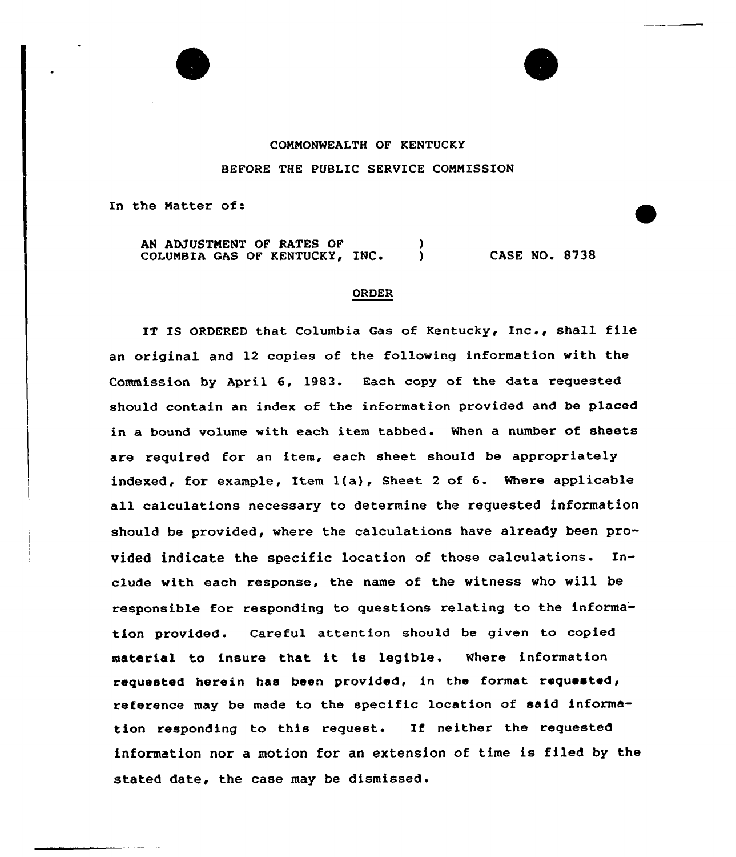

## CONNONWEALTH OF KENTUCKY BEFORE THE PUBLIC SERVICE COMMISSION

In the Natter of:

AN ADJUSTNENT OF RATES OF COLUMBIA GAS OF KENTUCKY, INC.  $\bigcup$  CASE NO. 8738

## ORDER

IT IS ORDERED that Columbia Gas of Kentucky, Inc., shell file an original and 12 copies of the following information with the Commission by April 6, 1983. Each copy of the data requested should contain an index of the information provided and be placed in a bound volume with each item tabbed. When a number of sheets are required for an item, each sheet should be appropriately indexed, for example, Item  $l(a)$ , Sheet 2 of 6. Where applicable all calculations necessary to determine the requested information should be provided, where the calculations have already been provided indicate the specific location of those calculations. Include with each response, the name of the witness who will be responsible for responding to questions relating to the informa' tion provided. Careful attention should be given to copied material to insure that it is legible. Where information requested herein has been provided, in the format requested, reference mey be made to the specific location of said information responding to this request. If neither the requested information nor a motion for an extension of time is filed by the stated date, the case may be dismissed .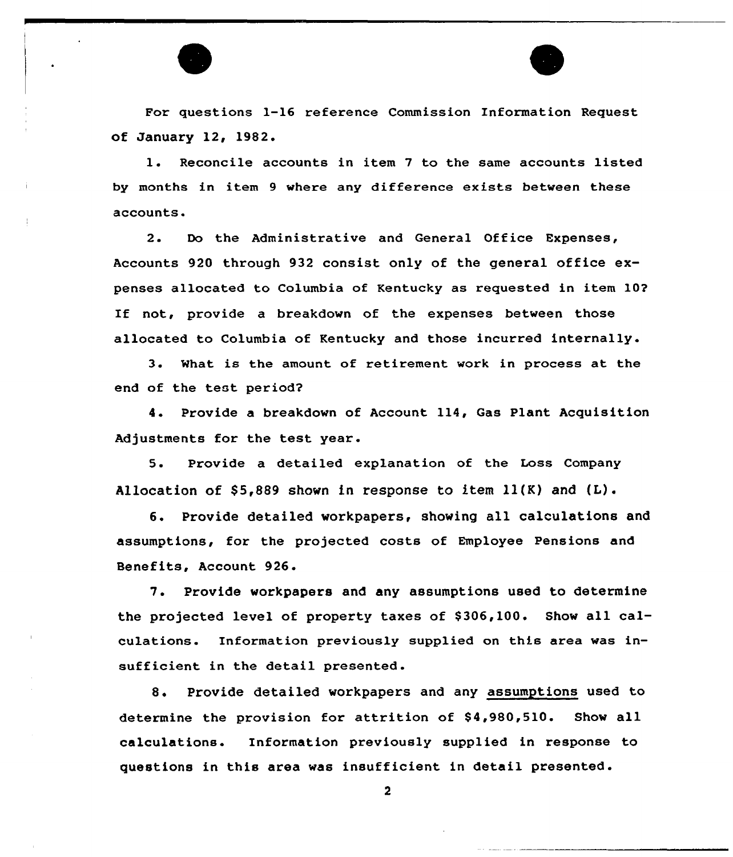

For questions 1-16 reference Commission Information Request of January 12, 1982.

1. Reconcile accounts in item <sup>7</sup> to the same accounts listed by months in item 9 where any difference exists between these accounts.

2. Do the Administrative and General Office Expenses, Accounts 920 through 932 consist only of the general office expenses allocated to Columbia of Kentucky as requested in item 10? If not, provide a breakdown of the expenses between those allocated to Columbia of Kentucky and those incurred internally.

3. %hat is the amount of retirement work in process at the end of the test period2

4. Provide a breakdown of Account 114, Gas Plant Acquisition Adjustments for the test year.

5. Provide a detailed explanation of the Loss Company Allocation of  $$5,889$  shown in response to item  $11(K)$  and  $(L)$ .

6. Provide detailed workpapers, showing all calculations and assumptions, for the projected costs of Employee Pensions and Benefits, Account 926.

7. Provide workpapers and any assumptions used to determine the projected level of property taxes of \$306,100. Show all calculations. Information previously supplied on this area was insufficient in the detail presented.

8. Provide detailed workpapers and any assumptions used to determine the provision for attrition of \$4,980,510. Show all calculations. Information previously supplied in response to questions in this area was insufficient in detail presented.

 $\overline{2}$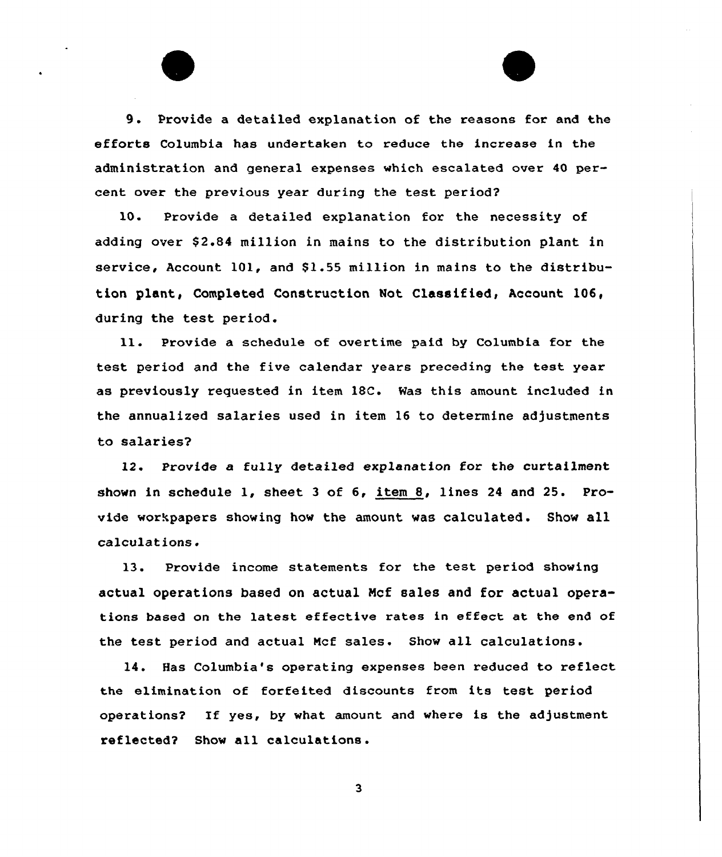9. Provide <sup>a</sup> detailed explanation of the reasons for and the efforts Columbia has undertaken to reduce the increase in the administration and general expenses which escalated over 40 percent over the previous year during the test period?

10. Provide a detailed explanation for the necessity of adding over \$2.84 million in mains to the distribution plant in service, Account 101, and \$1.55 million in mains to the distribu tion plant, Completed Construction Not Classified, Account 106, during the test period.

Provide a schedule of overtime paid by Columbia for the 11. test period and the five calendar years preceding the test year as previously requested in item 18C. Has this amount included in the annualized salaries used in item 16 to determine adjustments to salaries7

12. Provide a fully detailed explanation for the curtailment shown in schedule 1, sheet <sup>3</sup> of 6, item 8, lines <sup>24</sup> and 25. Provide workpapers showing how the amount was calculated. Show all calculations.

13. Provide income statements for the test period showing actual operations based on actual Ncf sales and for actual operations based on the latest effective rates in effect at the end of the test period and actual Mcf sales. Show all calculations.

14. Has Columbia's operating expenses been reduced to reflect the elimination of forfeited discounts from its test period operations2 If yes, by what amount and where is the adjustment reflected? Show all calculations.

 $\overline{\mathbf{3}}$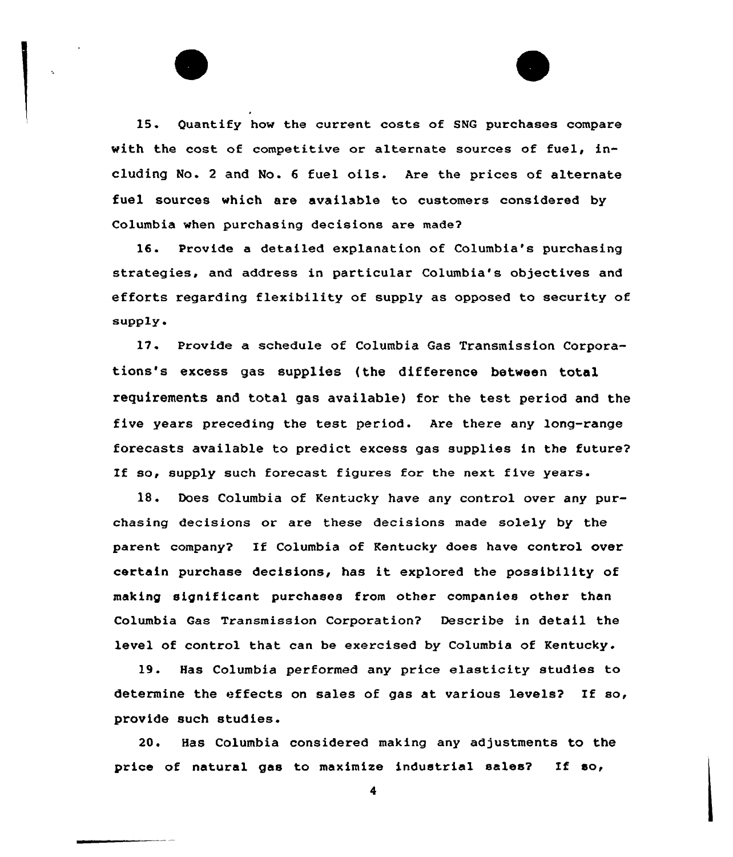15. Quantify how the current costs of SNG purchases compare with the cost of competitive or alternate sources of fuel, including No. <sup>2</sup> and No. <sup>6</sup> fuel oils. Are the prices of alternate fuel sources which are available to customers considered by Columbia when purchasing decisions are made?

16. Provide a detailed explanation of Columbia's purchasing strategies, and address in particular Columbia's objectives and efforts regarding flexibility of supply as opposed to security of supply.

17. Provide a schedule of Columbia Gas Transmission Corporations's excess gas supplies (the difference between total requirements and total gas available) fox the test period and the five years preceding the test period. Are thexe any long-range forecasts available to predict excess gas supplies in the future? If so, supply such forecast figures for the next five years.

1S. Does Columbia of Kentucky have any control over any purchasing decisions or are these decisions made solely by the parent company? If Columbia of Kentucky does have control over certain purchase decisions, has it explored the possibility of making significant purchases from other companies other than Columbia Gas Transmission Corporation? Describe in detail the level of control that can be exercised by Columbia of Kentucky.

19. Has Columbia performed any price elasticity studies to determine the effects on sales of gas at various levels? If so, provide such studies.

20. Has Columbia considered making any adjustments to the price of natural gas to maximize industrial sales? If so,

4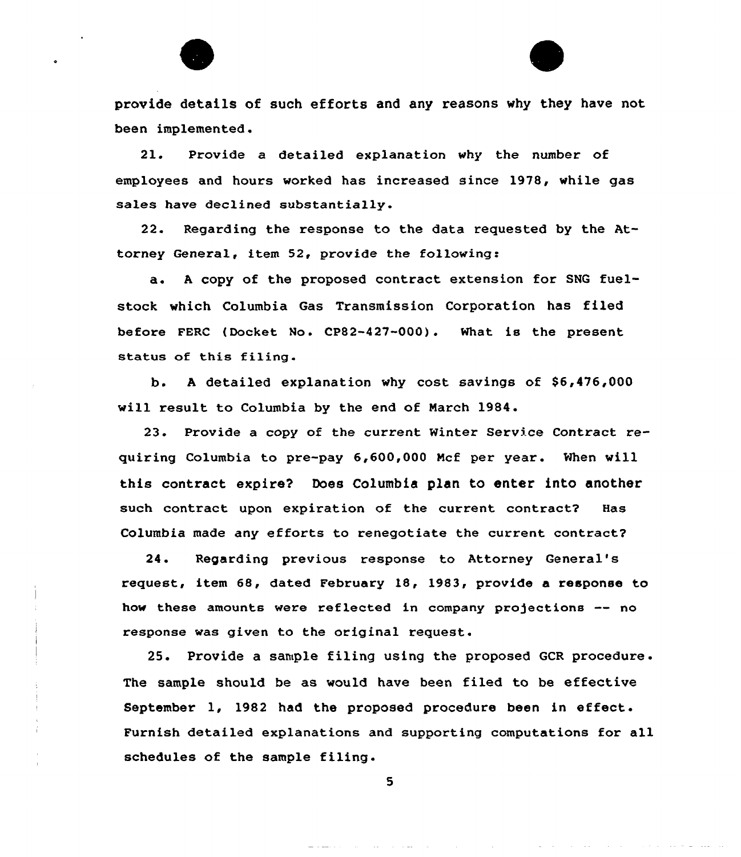provide details of such efforts and any reasons why they have not been implemented.

21. Provide a detailed explanation why the number of employees and hours worked has increased since 1978, while gas sales have dec1ined substantia11y.

22. Regarding the response to the data requested by the Attorney General, item 52, provide the following:

a. <sup>A</sup> copy of the proposed contract extension for SNG fuelstock which Columbia Gas Transmission Corporation has filed before FERC (Docket No. CP82-427-000). What is the present status of this filing.

b. <sup>A</sup> detailed explanation why cost savings of S6,476,000 will result to Columbia by the end of March 1984.

23. Provide a copy of the current Minter Service Contract requiring Columbia to pre-pay 6,600,000 Mcf per year. When will this contract expire? Does Columbia plan to enter into another such contract upon expiration of the current contract? Has Columbia made any efforts to renegotiate the current contract?

24. Regarding previous response to Attorney General' request, item 68, dated February 18, 1983, provide a response to how these amounts were reflected in company projections -- no response was given to the original request.

25. Provide <sup>a</sup> sample filing using the proposed GCR procedure . The sample should be as would have been filed to be effective September 1, 1982 had the proposed procedure been in effect. Furnish detailed explanations and supporting computations for all schedules of the sample filing.

5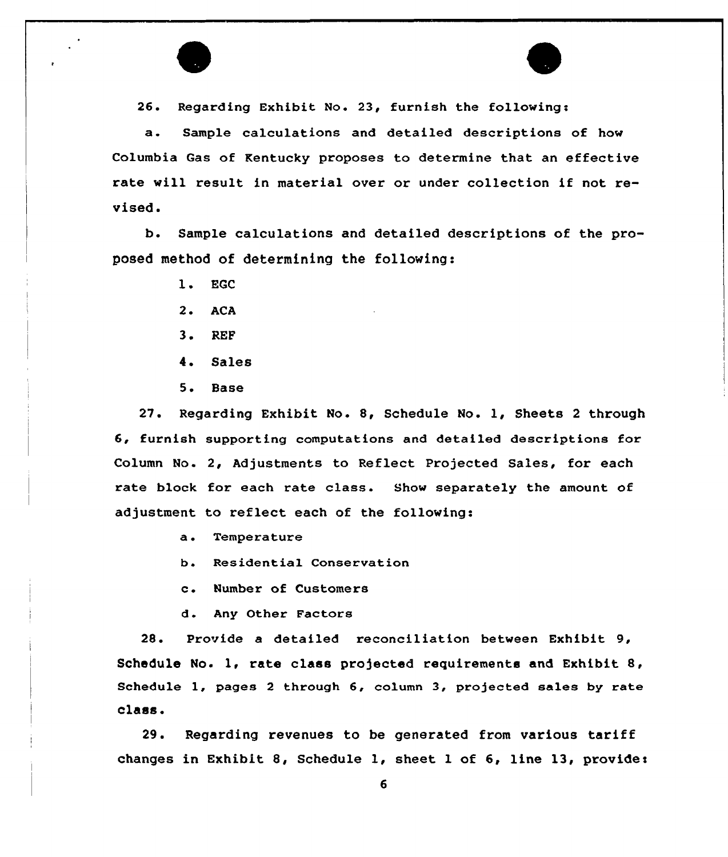

26. Regarding Exhibit No. 23, furnish the following:

a. Sample calculations and detailed descriptions of how Columbia Gas of Kentucky proposes to determine that an effective rate will result in material over or under collection if not revised.

b. Sample calculations and detailed descriptions of the proposed method of determining the following:

- 1. EGC
- 2. ACA
- 3. REF
- 4. Sales
- 5. Base

27. Regarding Exhibit No. 8, Schedule No. 1, Sheets <sup>2</sup> through 6, furnish supporting computations and detailed descriptions for Column No. 2, Adjustments to Reflect Projected Sales, for each rate block for each rate class. Show separately the amount of adjustment to reflect each of the following:

- a. Temperature
- b. Residential Conservation
- c. Number of Customers
- d. Any Other Factors

28. Provide a detailed reconciliation between Exhibit 9, Schedule No. 1, rate class projected requirements and Exhibit 8, Schedule 1, pages 2 through 6, column 3, projected sales by rate class <sup>~</sup>

29. Regarding revenues to be generated from various tariff changes in Exhibit 8, Schedule 1, sheet 1 of 6, line 13, provide: